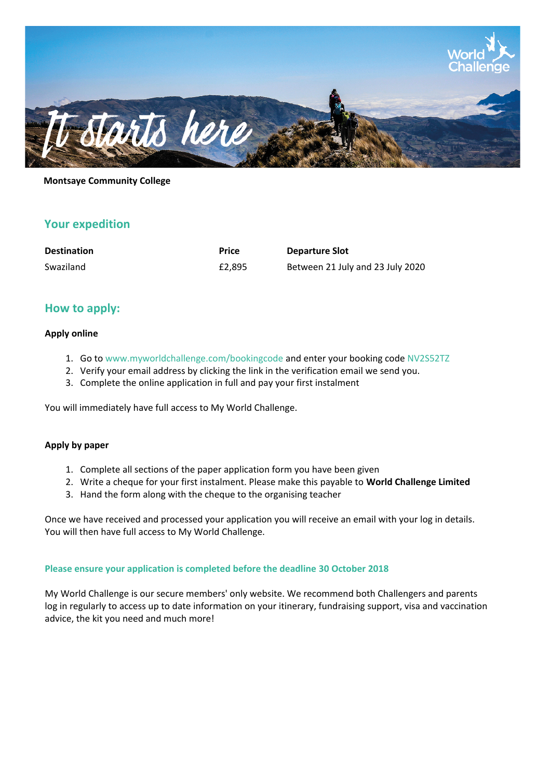

### **Montsaye Community College**

## **Your expedition**

| <b>Destination</b> | <b>Price</b> | <b>Departure Slot</b>            |
|--------------------|--------------|----------------------------------|
| Swaziland          | £2.895       | Between 21 July and 23 July 2020 |

## **How to apply:**

#### **Apply online**

- 1. Go to www.myworldchallenge.com/bookingcode and enter your booking code NV2S52TZ
- 2. Verify your email address by clicking the link in the verification email we send you.
- 3. Complete the online application in full and pay your first instalment

You will immediately have full access to My World Challenge.

#### **Apply by paper**

- 1. Complete all sections of the paper application form you have been given
- 2. Write a cheque for your first instalment. Please make this payable to **World Challenge Limited**
- 3. Hand the form along with the cheque to the organising teacher

Once we have received and processed your application you will receive an email with your log in details. You will then have full access to My World Challenge.

#### **Please ensure your application is completed before the deadline 30 October 2018**

My World Challenge is our secure members' only website. We recommend both Challengers and parents log in regularly to access up to date information on your itinerary, fundraising support, visa and vaccination advice, the kit you need and much more!